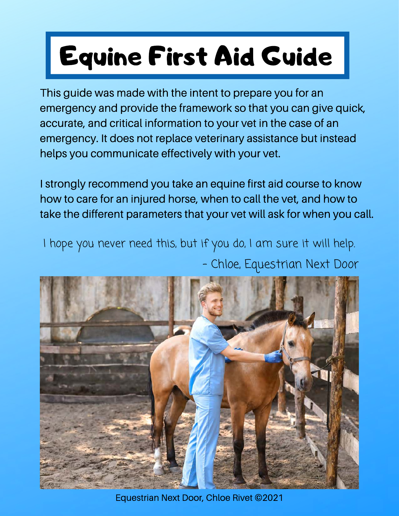# Equine First Aid Guide

This guide was made with the intent to prepare you for an emergency and provide the framework so that you can give quick, accurate, and critical information to your vet in the case of an emergency. It does not replace veterinary assistance but instead helps you communicate effectively with your vet.

I strongly recommend you take an equine first aid course to know how to care for an injured horse, when to call the vet, and how to take the different parameters that your vet will ask for when you call.

I hope you never need this, but if you do, I am sure it will help. - Chloe, Equestrian Next Door



Equestrian Next Door, Chloe Rivet ©2021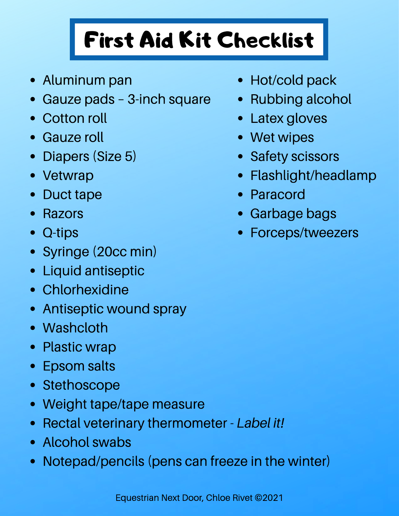# First Aid Kit Checklist

- Aluminum pan
- Gauze pads 3-inch square
- Cotton roll
- Gauze roll
- Diapers (Size 5)  $\bullet$
- Vetwrap
- Duct tape
- Razors
- Q-tips  $\bullet$
- Syringe (20cc min)
- Liquid antiseptic
- Chlorhexidine
- Antiseptic wound spray  $\bullet$
- Washcloth
- Plastic wrap
- Epsom salts  $\bullet$
- Stethoscope
- Weight tape/tape measure  $\bullet$
- Rectal veterinary thermometer  *Label it!*
- Alcohol swabs
- Notepad/pencils (pens can freeze in the winter)
- Hot/cold pack
- Rubbing alcohol
- Latex gloves
- Wet wipes
- Safety scissors
- Flashlight/headlamp
- Paracord
- Garbage bags
- Forceps/tweezers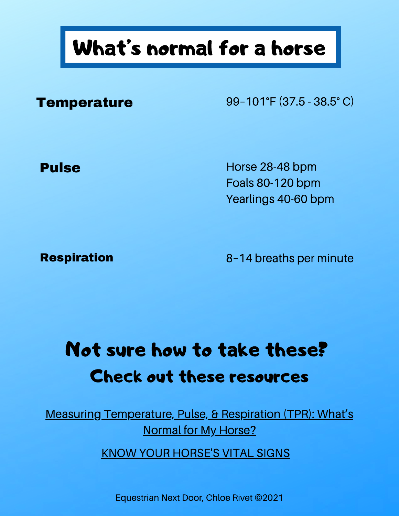# What's normal for a horse

**Temperature** 99-101°F (37.5 - 38.5° C)

Pulse **Pulse Horse 28-48 bpm** Foals 80-120 bpm Yearlings 40-60 bpm

**Respiration** 8–14 breaths per minute

## Not sure how to take these? Check out these resources

Measuring Temperature, [Pulse, & Respiration \(TPR\):](https://esc.rutgers.edu/fact_sheet/measuring-tpr/) What's Normal for My Horse?

KNOW YOUR [HORSE'S](https://hygain.com.au/blogs/library/know-horses-vital-signs) VITAL SIGNS

Equestrian Next Door, Chloe Rivet ©2021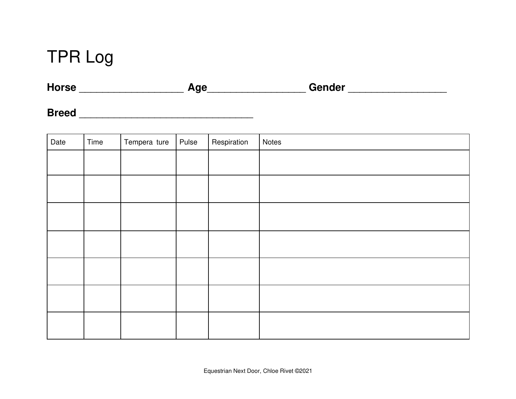## TPR Log

| <b>Horse</b> | Age | Gender |
|--------------|-----|--------|
|--------------|-----|--------|

**Breed** \_\_\_\_\_\_\_\_\_\_\_\_\_\_\_\_\_\_\_\_\_\_\_\_\_\_\_\_\_\_

| Date | Time | Tempera ture | Pulse | Respiration | Notes |
|------|------|--------------|-------|-------------|-------|
|      |      |              |       |             |       |
|      |      |              |       |             |       |
|      |      |              |       |             |       |
|      |      |              |       |             |       |
|      |      |              |       |             |       |
|      |      |              |       |             |       |
|      |      |              |       |             |       |